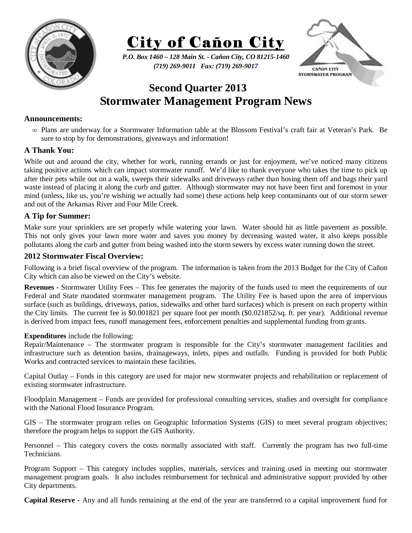



*P.O. Box 1460 – 128 Main St. - Cañon City, CO 81215-1460 (719) 269-9011 Fax: (719) 269-9017* 



# **Second Quarter 2013 Stormwater Management Program News**

### **Announcements:**

∞ Plans are underway for a Stormwater Information table at the Blossom Festival's craft fair at Veteran's Park. Be sure to stop by for demonstrations, giveaways and information!

### **A Thank You:**

While out and around the city, whether for work, running errands or just for enjoyment, we've noticed many citizens taking positive actions which can impact stormwater runoff. We'd like to thank everyone who takes the time to pick up after their pets while out on a walk, sweeps their sidewalks and driveways rather than hosing them off and bags their yard waste instead of placing it along the curb and gutter. Although stormwater may not have been first and foremost in your mind (unless, like us, you're wishing we actually had some) these actions help keep contaminants out of our storm sewer and out of the Arkansas River and Four Mile Creek.

## **A Tip for Summer:**

Make sure your sprinklers are set properly while watering your lawn. Water should hit as little pavement as possible. This not only gives your lawn more water and saves you money by decreasing wasted water, it also keeps possible pollutants along the curb and gutter from being washed into the storm sewers by excess water running down the street.

### **2012 Stormwater Fiscal Overview:**

Following is a brief fiscal overview of the program. The information is taken from the 2013 Budget for the City of Cañon City which can also be viewed on the City's website.

**Revenues -** Stormwater Utility Fees – This fee generates the majority of the funds used to meet the requirements of our Federal and State mandated stormwater management program. The Utility Fee is based upon the area of impervious surface (such as buildings, driveways, patios, sidewalks and other hard surfaces) which is present on each property within the City limits. The current fee is \$0.001821 per square foot per month (\$0.021852/sq. ft. per year). Additional revenue is derived from impact fees, runoff management fees, enforcement penalties and supplemental funding from grants.

#### **Expenditures** include the following:

Repair/Maintenance – The stormwater program is responsible for the City's stormwater management facilities and infrastructure such as detention basins, drainageways, inlets, pipes and outfalls. Funding is provided for both Public Works and contracted services to maintain these facilities.

Capital Outlay – Funds in this category are used for major new stormwater projects and rehabilitation or replacement of existing stormwater infrastructure.

Floodplain Management – Funds are provided for professional consulting services, studies and oversight for compliance with the National Flood Insurance Program.

GIS – The stormwater program relies on Geographic Information Systems (GIS) to meet several program objectives; therefore the program helps to support the GIS Authority.

Personnel – This category covers the costs normally associated with staff. Currently the program has two full-time Technicians.

Program Support – This category includes supplies, materials, services and training used in meeting our stormwater management program goals. It also includes reimbursement for technical and administrative support provided by other City departments.

**Capital Reserve -** Any and all funds remaining at the end of the year are transferred to a capital improvement fund for